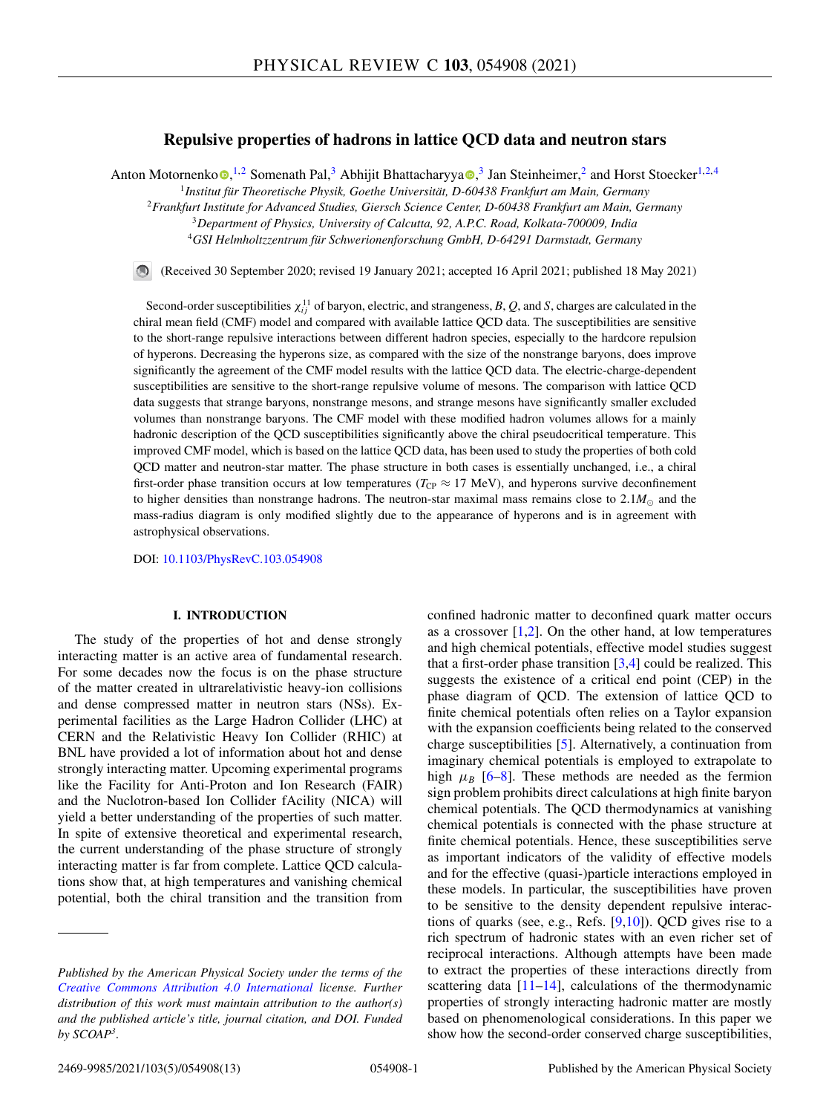# **Repulsive properties of hadrons in lattice QCD data and neutron stars**

Anton Motornenko **.**<sup>1,2</sup> Somenath Pal,<sup>3</sup> Abhijit Bhattacharyya <sup>3</sup>, Jan Steinheimer,<sup>2</sup> and Horst Stoecker<sup>1,2,4</sup>

1 *Institut für Theoretische Physik, Goethe Universität, D-60438 Frankfurt am Main, Germany*

<sup>2</sup>*Frankfurt Institute for Advanced Studies, Giersch Science Center, D-60438 Frankfurt am Main, Germany*

<sup>3</sup>*Department of Physics, University of Calcutta, 92, A.P.C. Road, Kolkata-700009, India*

<sup>4</sup>*GSI Helmholtzzentrum für Schwerionenforschung GmbH, D-64291 Darmstadt, Germany*

(Received 30 September 2020; revised 19 January 2021; accepted 16 April 2021; published 18 May 2021)

Second-order susceptibilities  $\chi_{ij}^{11}$  of baryon, electric, and strangeness, B, Q, and S, charges are calculated in the chiral mean field (CMF) model and compared with available lattice QCD data. The susceptibilities are sensitive to the short-range repulsive interactions between different hadron species, especially to the hardcore repulsion of hyperons. Decreasing the hyperons size, as compared with the size of the nonstrange baryons, does improve significantly the agreement of the CMF model results with the lattice QCD data. The electric-charge-dependent susceptibilities are sensitive to the short-range repulsive volume of mesons. The comparison with lattice QCD data suggests that strange baryons, nonstrange mesons, and strange mesons have significantly smaller excluded volumes than nonstrange baryons. The CMF model with these modified hadron volumes allows for a mainly hadronic description of the QCD susceptibilities significantly above the chiral pseudocritical temperature. This improved CMF model, which is based on the lattice QCD data, has been used to study the properties of both cold QCD matter and neutron-star matter. The phase structure in both cases is essentially unchanged, i.e., a chiral first-order phase transition occurs at low temperatures ( $T_{CP} \approx 17 \text{ MeV}$ ), and hyperons survive deconfinement to higher densities than nonstrange hadrons. The neutron-star maximal mass remains close to  $2.1M_{\odot}$  and the mass-radius diagram is only modified slightly due to the appearance of hyperons and is in agreement with astrophysical observations.

DOI: 10.1103/PhysRevC.103.054908

## **I. INTRODUCTION**

The study of the properties of hot and dense strongly interacting matter is an active area of fundamental research. For some decades now the focus is on the phase structure of the matter created in ultrarelativistic heavy-ion collisions and dense compressed matter in neutron stars (NSs). Experimental facilities as the Large Hadron Collider (LHC) at CERN and the Relativistic Heavy Ion Collider (RHIC) at BNL have provided a lot of information about hot and dense strongly interacting matter. Upcoming experimental programs like the Facility for Anti-Proton and Ion Research (FAIR) and the Nuclotron-based Ion Collider fAcility (NICA) will yield a better understanding of the properties of such matter. In spite of extensive theoretical and experimental research, the current understanding of the phase structure of strongly interacting matter is far from complete. Lattice QCD calculations show that, at high temperatures and vanishing chemical potential, both the chiral transition and the transition from

confined hadronic matter to deconfined quark matter occurs as a crossover  $[1,2]$ . On the other hand, at low temperatures and high chemical potentials, effective model studies suggest that a first-order phase transition  $[3,4]$  could be realized. This suggests the existence of a critical end point (CEP) in the phase diagram of QCD. The extension of lattice QCD to finite chemical potentials often relies on a Taylor expansion with the expansion coefficients being related to the conserved charge susceptibilities [5]. Alternatively, a continuation from imaginary chemical potentials is employed to extrapolate to high  $\mu_B$  [6–8]. These methods are needed as the fermion sign problem prohibits direct calculations at high finite baryon chemical potentials. The QCD thermodynamics at vanishing chemical potentials is connected with the phase structure at finite chemical potentials. Hence, these susceptibilities serve as important indicators of the validity of effective models and for the effective (quasi-)particle interactions employed in these models. In particular, the susceptibilities have proven to be sensitive to the density dependent repulsive interactions of quarks (see, e.g., Refs. [9,10]). QCD gives rise to a rich spectrum of hadronic states with an even richer set of reciprocal interactions. Although attempts have been made to extract the properties of these interactions directly from scattering data  $[11–14]$ , calculations of the thermodynamic properties of strongly interacting hadronic matter are mostly based on phenomenological considerations. In this paper we show how the second-order conserved charge susceptibilities,

*Published by the American Physical Society under the terms of the Creative Commons Attribution 4.0 International license. Further distribution of this work must maintain attribution to the author(s) and the published article's title, journal citation, and DOI. Funded by SCOAP<sup>3</sup> .*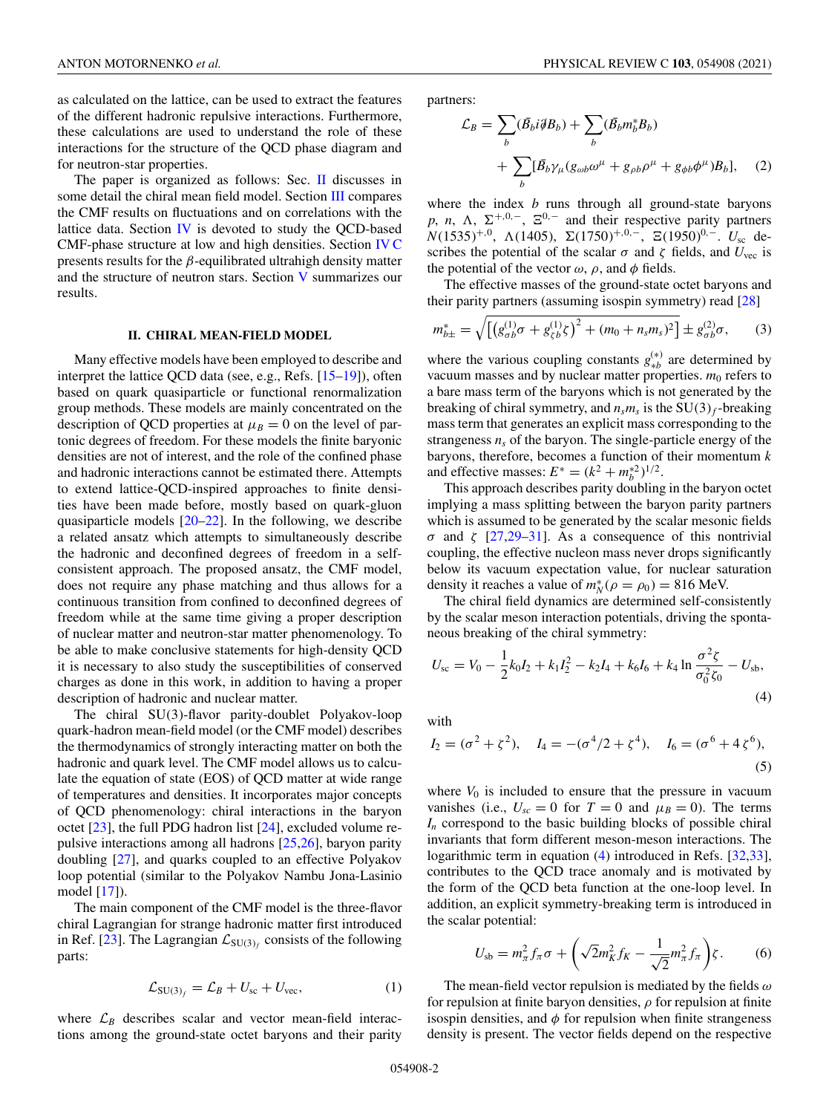as calculated on the lattice, can be used to extract the features of the different hadronic repulsive interactions. Furthermore, these calculations are used to understand the role of these interactions for the structure of the QCD phase diagram and for neutron-star properties.

The paper is organized as follows: Sec. II discusses in some detail the chiral mean field model. Section III compares the CMF results on fluctuations and on correlations with the lattice data. Section  *is devoted to study the QCD-based* CMF-phase structure at low and high densities. Section IV C presents results for the  $\beta$ -equilibrated ultrahigh density matter and the structure of neutron stars. Section V summarizes our results.

### **II. CHIRAL MEAN-FIELD MODEL**

Many effective models have been employed to describe and interpret the lattice QCD data (see, e.g., Refs. [15–19]), often based on quark quasiparticle or functional renormalization group methods. These models are mainly concentrated on the description of QCD properties at  $\mu_B = 0$  on the level of partonic degrees of freedom. For these models the finite baryonic densities are not of interest, and the role of the confined phase and hadronic interactions cannot be estimated there. Attempts to extend lattice-QCD-inspired approaches to finite densities have been made before, mostly based on quark-gluon quasiparticle models [20–22]. In the following, we describe a related ansatz which attempts to simultaneously describe the hadronic and deconfined degrees of freedom in a selfconsistent approach. The proposed ansatz, the CMF model, does not require any phase matching and thus allows for a continuous transition from confined to deconfined degrees of freedom while at the same time giving a proper description of nuclear matter and neutron-star matter phenomenology. To be able to make conclusive statements for high-density QCD it is necessary to also study the susceptibilities of conserved charges as done in this work, in addition to having a proper description of hadronic and nuclear matter.

The chiral SU(3)-flavor parity-doublet Polyakov-loop quark-hadron mean-field model (or the CMF model) describes the thermodynamics of strongly interacting matter on both the hadronic and quark level. The CMF model allows us to calculate the equation of state (EOS) of QCD matter at wide range of temperatures and densities. It incorporates major concepts of QCD phenomenology: chiral interactions in the baryon octet [23], the full PDG hadron list [24], excluded volume repulsive interactions among all hadrons [25,26], baryon parity doubling [27], and quarks coupled to an effective Polyakov loop potential (similar to the Polyakov Nambu Jona-Lasinio model [17]).

The main component of the CMF model is the three-flavor chiral Lagrangian for strange hadronic matter first introduced in Ref. [23]. The Lagrangian  $\mathcal{L}_{SU(3)_f}$  consists of the following parts:

$$
\mathcal{L}_{\text{SU(3)}_f} = \mathcal{L}_B + U_{\text{sc}} + U_{\text{vec}},\tag{1}
$$

where  $\mathcal{L}_B$  describes scalar and vector mean-field interactions among the ground-state octet baryons and their parity partners:

$$
\mathcal{L}_B = \sum_b (\bar{B}_b i \partial B_b) + \sum_b (\bar{B}_b m_b^* B_b)
$$
  
+ 
$$
\sum_b [\bar{B}_b \gamma_\mu (g_{\omega b} \omega^\mu + g_{\rho b} \rho^\mu + g_{\phi b} \phi^\mu) B_b], \quad (2)
$$

where the index *b* runs through all ground-state baryons p, *n*,  $\Lambda$ ,  $\Sigma^{+,0,-}$ ,  $\Sigma^{0,-}$  and their respective parity partners *N*(1535)<sup>+,0</sup>, Λ(1405), Σ(1750)<sup>+,0,−</sup>, Ξ(1950)<sup>0,−</sup>. *U*<sub>sc</sub> describes the potential of the scalar  $\sigma$  and  $\zeta$  fields, and  $U_{\text{vec}}$  is the potential of the vector  $\omega$ ,  $\rho$ , and  $\phi$  fields.

The effective masses of the ground-state octet baryons and their parity partners (assuming isospin symmetry) read [28]

$$
m_{b\pm}^* = \sqrt{\left[ \left( g_{\sigma b}^{(1)} \sigma + g_{\zeta b}^{(1)} \zeta \right)^2 + (m_0 + n_s m_s)^2 \right]} \pm g_{\sigma b}^{(2)} \sigma, \qquad (3)
$$

where the various coupling constants  $g_{*b}^{(*)}$  are determined by vacuum masses and by nuclear matter properties.  $m_0$  refers to a bare mass term of the baryons which is not generated by the breaking of chiral symmetry, and  $n_s m_s$  is the SU(3)<sub>f</sub>-breaking mass term that generates an explicit mass corresponding to the strangeness  $n<sub>s</sub>$  of the baryon. The single-particle energy of the baryons, therefore, becomes a function of their momentum *k* and effective masses:  $E^* = (k^2 + m_b^{*2})^{1/2}$ .

This approach describes parity doubling in the baryon octet implying a mass splitting between the baryon parity partners which is assumed to be generated by the scalar mesonic fields σ and ζ [27,29–31]. As a consequence of this nontrivial coupling, the effective nucleon mass never drops significantly below its vacuum expectation value, for nuclear saturation density it reaches a value of  $m_N^*(\rho = \rho_0) = 816$  MeV.

The chiral field dynamics are determined self-consistently by the scalar meson interaction potentials, driving the spontaneous breaking of the chiral symmetry:

$$
U_{\rm sc} = V_0 - \frac{1}{2}k_0I_2 + k_1I_2^2 - k_2I_4 + k_6I_6 + k_4 \ln \frac{\sigma^2 \zeta}{\sigma_0^2 \zeta_0} - U_{\rm sb},\tag{4}
$$

with

$$
I_2 = (\sigma^2 + \zeta^2), \quad I_4 = -(\sigma^4/2 + \zeta^4), \quad I_6 = (\sigma^6 + 4\zeta^6),
$$
 (5)

where  $V_0$  is included to ensure that the pressure in vacuum vanishes (i.e.,  $U_{sc} = 0$  for  $T = 0$  and  $\mu_B = 0$ ). The terms  $I_n$  correspond to the basic building blocks of possible chiral invariants that form different meson-meson interactions. The logarithmic term in equation (4) introduced in Refs. [32,33], contributes to the QCD trace anomaly and is motivated by the form of the QCD beta function at the one-loop level. In addition, an explicit symmetry-breaking term is introduced in the scalar potential:

$$
U_{\rm sb} = m_{\pi}^2 f_{\pi} \sigma + \left(\sqrt{2} m_K^2 f_K - \frac{1}{\sqrt{2}} m_{\pi}^2 f_{\pi}\right) \zeta. \tag{6}
$$

The mean-field vector repulsion is mediated by the fields  $\omega$ for repulsion at finite baryon densities,  $\rho$  for repulsion at finite isospin densities, and  $\phi$  for repulsion when finite strangeness density is present. The vector fields depend on the respective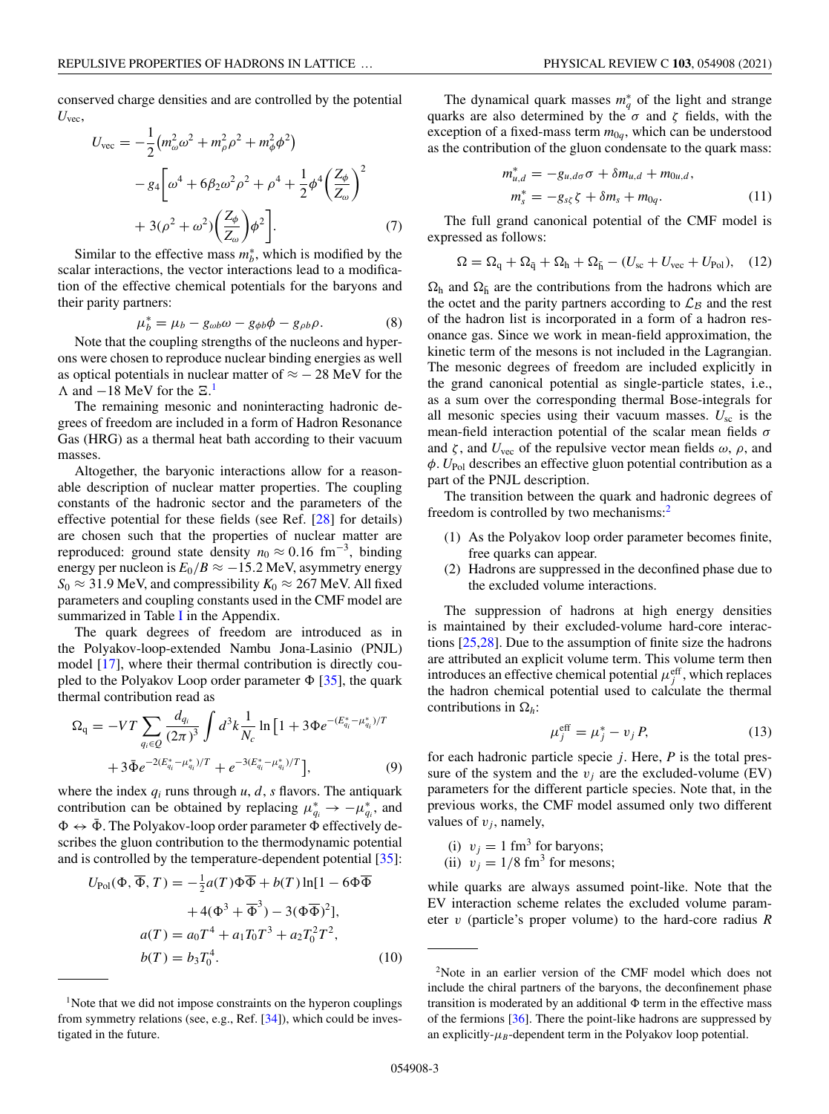conserved charge densities and are controlled by the potential *U*vec,

$$
U_{\text{vec}} = -\frac{1}{2} (m_{\omega}^2 \omega^2 + m_{\rho}^2 \rho^2 + m_{\phi}^2 \phi^2)
$$
  

$$
- g_4 \left[ \omega^4 + 6 \beta_2 \omega^2 \rho^2 + \rho^4 + \frac{1}{2} \phi^4 \left( \frac{Z_{\phi}}{Z_{\omega}} \right)^2 + 3(\rho^2 + \omega^2) \left( \frac{Z_{\phi}}{Z_{\omega}} \right) \phi^2 \right].
$$
 (7)

Similar to the effective mass  $m_b^*$ , which is modified by the scalar interactions, the vector interactions lead to a modification of the effective chemical potentials for the baryons and their parity partners:

$$
\mu_b^* = \mu_b - g_{\omega b} \omega - g_{\phi b} \phi - g_{\rho b} \rho. \tag{8}
$$

Note that the coupling strengths of the nucleons and hyperons were chosen to reproduce nuclear binding energies as well as optical potentials in nuclear matter of  $\approx$  - 28 MeV for the  $\Lambda$  and  $-18$  MeV for the  $\Xi$ .<sup>1</sup>

The remaining mesonic and noninteracting hadronic degrees of freedom are included in a form of Hadron Resonance Gas (HRG) as a thermal heat bath according to their vacuum masses.

Altogether, the baryonic interactions allow for a reasonable description of nuclear matter properties. The coupling constants of the hadronic sector and the parameters of the effective potential for these fields (see Ref. [28] for details) are chosen such that the properties of nuclear matter are reproduced: ground state density  $n_0 \approx 0.16$  fm<sup>-3</sup>, binding energy per nucleon is  $E_0/B \approx -15.2$  MeV, asymmetry energy  $S_0 \approx 31.9$  MeV, and compressibility  $K_0 \approx 267$  MeV. All fixed parameters and coupling constants used in the CMF model are summarized in Table I in the Appendix.

The quark degrees of freedom are introduced as in the Polyakov-loop-extended Nambu Jona-Lasinio (PNJL) model [17], where their thermal contribution is directly coupled to the Polyakov Loop order parameter  $\Phi$  [35], the quark thermal contribution read as

$$
\Omega_{\mathbf{q}} = -VT \sum_{q_i \in Q} \frac{d_{q_i}}{(2\pi)^3} \int d^3k \frac{1}{N_c} \ln\left[1 + 3\Phi e^{-(E_{q_i}^* - \mu_{q_i}^*)/T}\right] + 3\bar{\Phi} e^{-2(E_{q_i}^* - \mu_{q_i}^*)/T} + e^{-3(E_{q_i}^* - \mu_{q_i}^*)/T}\Big],\tag{9}
$$

where the index  $q_i$  runs through  $u$ ,  $d$ ,  $s$  flavors. The antiquark contribution can be obtained by replacing  $\mu_{q_i}^* \to -\mu_{q_i}^*$ , and  $\Phi \leftrightarrow \bar{\Phi}$ . The Polyakov-loop order parameter  $\Phi$  effectively describes the gluon contribution to the thermodynamic potential and is controlled by the temperature-dependent potential [35]:

$$
U_{\text{Pol}}(\Phi, \overline{\Phi}, T) = -\frac{1}{2}a(T)\Phi\overline{\Phi} + b(T)\ln[1 - 6\Phi\overline{\Phi} + 4(\Phi^3 + \overline{\Phi}^3) - 3(\Phi\overline{\Phi})^2],
$$
  

$$
a(T) = a_0T^4 + a_1T_0T^3 + a_2T_0^2T^2,
$$
  

$$
b(T) = b_3T_0^4.
$$
 (10)

The dynamical quark masses  $m_q^*$  of the light and strange quarks are also determined by the  $\sigma$  and  $\zeta$  fields, with the exception of a fixed-mass term  $m_{0q}$ , which can be understood as the contribution of the gluon condensate to the quark mass:

$$
m_{u,d}^* = -g_{u,d\sigma}\sigma + \delta m_{u,d} + m_{0u,d},
$$
  
\n
$$
m_s^* = -g_{s\zeta}\zeta + \delta m_s + m_{0q}.
$$
\n(11)

The full grand canonical potential of the CMF model is expressed as follows:

$$
\Omega = \Omega_{\rm q} + \Omega_{\rm \bar{q}} + \Omega_{\rm h} + \Omega_{\rm \bar{h}} - (U_{\rm sc} + U_{\rm vec} + U_{\rm Pol}), \quad (12)
$$

 $\Omega_h$  and  $\Omega_{\bar{h}}$  are the contributions from the hadrons which are the octet and the parity partners according to  $\mathcal{L}_B$  and the rest of the hadron list is incorporated in a form of a hadron resonance gas. Since we work in mean-field approximation, the kinetic term of the mesons is not included in the Lagrangian. The mesonic degrees of freedom are included explicitly in the grand canonical potential as single-particle states, i.e., as a sum over the corresponding thermal Bose-integrals for all mesonic species using their vacuum masses. *U*sc is the mean-field interaction potential of the scalar mean fields  $\sigma$ and  $\zeta$ , and  $U_{\text{vec}}$  of the repulsive vector mean fields  $\omega$ ,  $\rho$ , and φ. *U*Pol describes an effective gluon potential contribution as a part of the PNJL description.

The transition between the quark and hadronic degrees of freedom is controlled by two mechanisms:<sup>2</sup>

- (1) As the Polyakov loop order parameter becomes finite, free quarks can appear.
- (2) Hadrons are suppressed in the deconfined phase due to the excluded volume interactions.

The suppression of hadrons at high energy densities is maintained by their excluded-volume hard-core interactions [25,28]. Due to the assumption of finite size the hadrons are attributed an explicit volume term. This volume term then introduces an effective chemical potential  $\mu_j^{\text{eff}}$ , which replaces the hadron chemical potential used to calculate the thermal contributions in  $\Omega_h$ :

$$
\mu_j^{\text{eff}} = \mu_j^* - v_j P,\tag{13}
$$

for each hadronic particle specie *j*. Here, *P* is the total pressure of the system and the  $v_j$  are the excluded-volume (EV) parameters for the different particle species. Note that, in the previous works, the CMF model assumed only two different values of  $v_j$ , namely,

- (i)  $v_j = 1$  fm<sup>3</sup> for baryons;
- (ii)  $v_j = 1/8$  fm<sup>3</sup> for mesons;

while quarks are always assumed point-like. Note that the EV interaction scheme relates the excluded volume parameter v (particle's proper volume) to the hard-core radius *R*

<sup>&</sup>lt;sup>1</sup>Note that we did not impose constraints on the hyperon couplings from symmetry relations (see, e.g., Ref. [34]), which could be investigated in the future.

<sup>2</sup>Note in an earlier version of the CMF model which does not include the chiral partners of the baryons, the deconfinement phase transition is moderated by an additional  $\Phi$  term in the effective mass of the fermions [36]. There the point-like hadrons are suppressed by an explicitly- $\mu_B$ -dependent term in the Polyakov loop potential.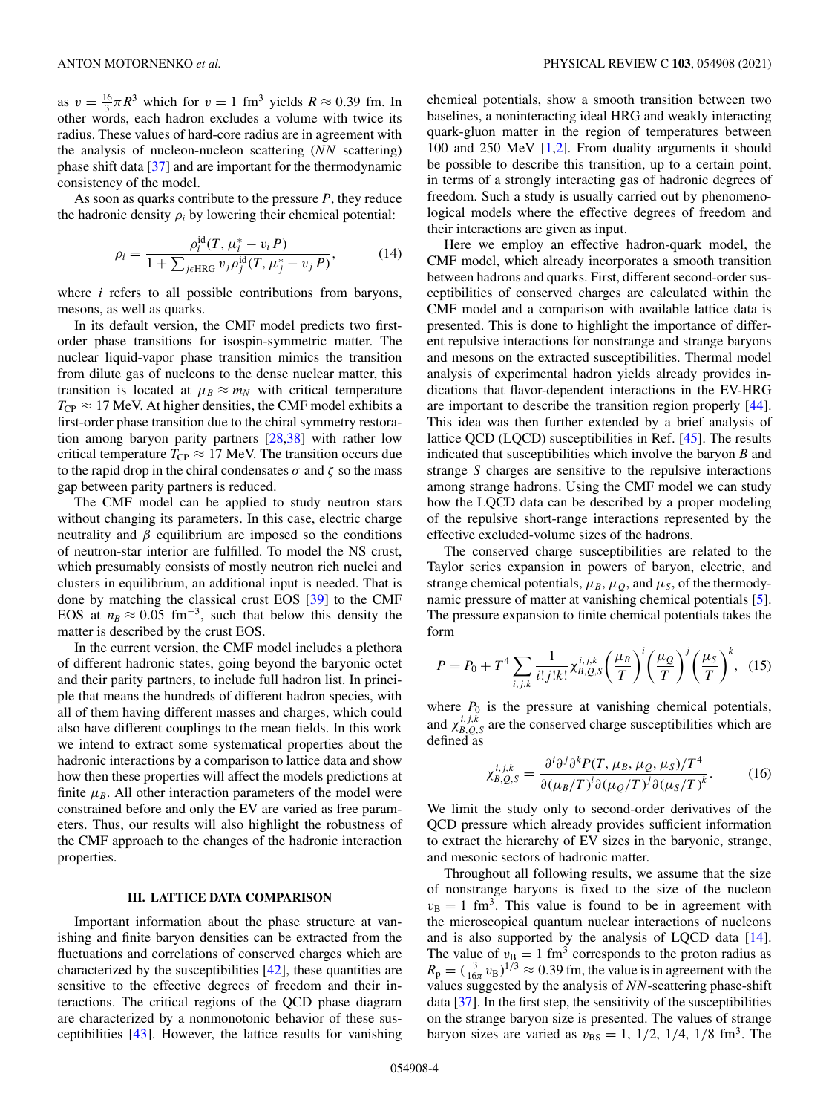as  $v = \frac{16}{3}\pi R^3$  which for  $v = 1$  fm<sup>3</sup> yields  $R \approx 0.39$  fm. In other words, each hadron excludes a volume with twice its radius. These values of hard-core radius are in agreement with the analysis of nucleon-nucleon scattering (*NN* scattering) phase shift data [37] and are important for the thermodynamic consistency of the model.

As soon as quarks contribute to the pressure *P*, they reduce the hadronic density  $\rho_i$  by lowering their chemical potential:

$$
\rho_i = \frac{\rho_i^{\rm id}(T, \mu_i^* - v_i P)}{1 + \sum_{j \in \text{HRG}} v_j \rho_j^{\rm id}(T, \mu_j^* - v_j P)},\tag{14}
$$

where *i* refers to all possible contributions from baryons, mesons, as well as quarks.

In its default version, the CMF model predicts two firstorder phase transitions for isospin-symmetric matter. The nuclear liquid-vapor phase transition mimics the transition from dilute gas of nucleons to the dense nuclear matter, this transition is located at  $\mu_B \approx m_N$  with critical temperature  $T_{CP} \approx 17$  MeV. At higher densities, the CMF model exhibits a first-order phase transition due to the chiral symmetry restoration among baryon parity partners [28,38] with rather low critical temperature  $T_{\rm CP} \approx 17$  MeV. The transition occurs due to the rapid drop in the chiral condensates  $\sigma$  and  $\zeta$  so the mass gap between parity partners is reduced.

The CMF model can be applied to study neutron stars without changing its parameters. In this case, electric charge neutrality and  $\beta$  equilibrium are imposed so the conditions of neutron-star interior are fulfilled. To model the NS crust, which presumably consists of mostly neutron rich nuclei and clusters in equilibrium, an additional input is needed. That is done by matching the classical crust EOS [39] to the CMF EOS at  $n_B \approx 0.05$  fm<sup>-3</sup>, such that below this density the matter is described by the crust EOS.

In the current version, the CMF model includes a plethora of different hadronic states, going beyond the baryonic octet and their parity partners, to include full hadron list. In principle that means the hundreds of different hadron species, with all of them having different masses and charges, which could also have different couplings to the mean fields. In this work we intend to extract some systematical properties about the hadronic interactions by a comparison to lattice data and show how then these properties will affect the models predictions at finite  $\mu_B$ . All other interaction parameters of the model were constrained before and only the EV are varied as free parameters. Thus, our results will also highlight the robustness of the CMF approach to the changes of the hadronic interaction properties.

### **III. LATTICE DATA COMPARISON**

Important information about the phase structure at vanishing and finite baryon densities can be extracted from the fluctuations and correlations of conserved charges which are characterized by the susceptibilities  $[42]$ , these quantities are sensitive to the effective degrees of freedom and their interactions. The critical regions of the QCD phase diagram are characterized by a nonmonotonic behavior of these susceptibilities [43]. However, the lattice results for vanishing

chemical potentials, show a smooth transition between two baselines, a noninteracting ideal HRG and weakly interacting quark-gluon matter in the region of temperatures between 100 and 250 MeV [1,2]. From duality arguments it should be possible to describe this transition, up to a certain point, in terms of a strongly interacting gas of hadronic degrees of freedom. Such a study is usually carried out by phenomenological models where the effective degrees of freedom and their interactions are given as input.

Here we employ an effective hadron-quark model, the CMF model, which already incorporates a smooth transition between hadrons and quarks. First, different second-order susceptibilities of conserved charges are calculated within the CMF model and a comparison with available lattice data is presented. This is done to highlight the importance of different repulsive interactions for nonstrange and strange baryons and mesons on the extracted susceptibilities. Thermal model analysis of experimental hadron yields already provides indications that flavor-dependent interactions in the EV-HRG are important to describe the transition region properly [44]. This idea was then further extended by a brief analysis of lattice QCD (LQCD) susceptibilities in Ref. [45]. The results indicated that susceptibilities which involve the baryon *B* and strange *S* charges are sensitive to the repulsive interactions among strange hadrons. Using the CMF model we can study how the LQCD data can be described by a proper modeling of the repulsive short-range interactions represented by the effective excluded-volume sizes of the hadrons.

The conserved charge susceptibilities are related to the Taylor series expansion in powers of baryon, electric, and strange chemical potentials,  $\mu_B$ ,  $\mu_Q$ , and  $\mu_S$ , of the thermodynamic pressure of matter at vanishing chemical potentials [5]. The pressure expansion to finite chemical potentials takes the form

$$
P = P_0 + T^4 \sum_{i,j,k} \frac{1}{i!j!k!} \chi_{B,Q,S}^{i,j,k} \left(\frac{\mu_B}{T}\right)^i \left(\frac{\mu_Q}{T}\right)^j \left(\frac{\mu_S}{T}\right)^k, \quad (15)
$$

where  $P_0$  is the pressure at vanishing chemical potentials, and  $\chi_{B,Q,S}^{i,j,k}$  are the conserved charge susceptibilities which are defined as

$$
\chi_{B,Q,S}^{i,j,k} = \frac{\partial^i \partial^j \partial^k P(T, \mu_B, \mu_Q, \mu_S)/T^4}{\partial (\mu_B/T)^i \partial (\mu_Q/T)^j \partial (\mu_S/T)^k}.
$$
(16)

We limit the study only to second-order derivatives of the QCD pressure which already provides sufficient information to extract the hierarchy of EV sizes in the baryonic, strange, and mesonic sectors of hadronic matter.

Throughout all following results, we assume that the size of nonstrange baryons is fixed to the size of the nucleon  $v_{\rm B} = 1$  fm<sup>3</sup>. This value is found to be in agreement with the microscopical quantum nuclear interactions of nucleons and is also supported by the analysis of LQCD data [14]. The value of  $v_B = 1$  fm<sup>3</sup> corresponds to the proton radius as  $R_p = (\frac{3}{16\pi}v_B)^{1/3} \approx 0.39$  fm, the value is in agreement with the values suggested by the analysis of *NN*-scattering phase-shift data [37]. In the first step, the sensitivity of the susceptibilities on the strange baryon size is presented. The values of strange baryon sizes are varied as  $v_{BS} = 1$ ,  $1/2$ ,  $1/4$ ,  $1/8$  fm<sup>3</sup>. The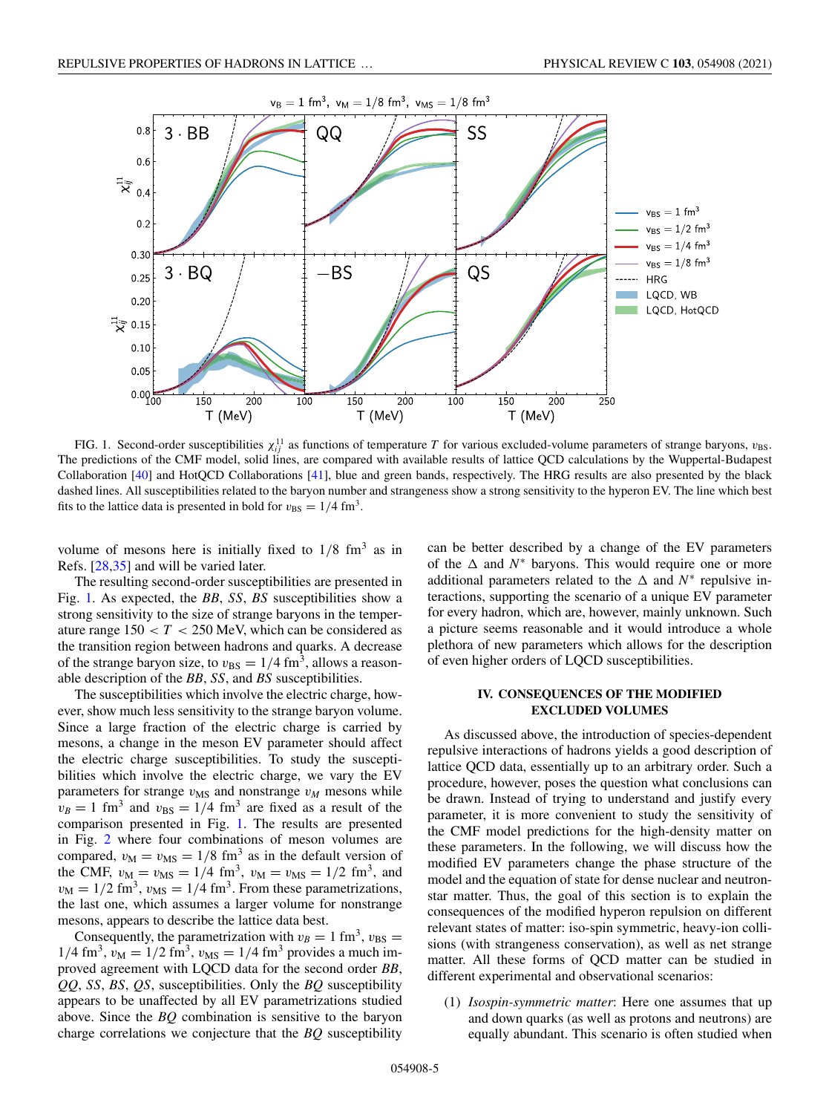

FIG. 1. Second-order susceptibilities  $\chi_{ij}^{11}$  as functions of temperature T for various excluded-volume parameters of strange baryons,  $v_{BS}$ . The predictions of the CMF model, solid lines, are compared with available results of lattice QCD calculations by the Wuppertal-Budapest Collaboration [40] and HotQCD Collaborations [41], blue and green bands, respectively. The HRG results are also presented by the black dashed lines. All susceptibilities related to the baryon number and strangeness show a strong sensitivity to the hyperon EV. The line which best fits to the lattice data is presented in bold for  $v_{\text{BS}} = 1/4 \text{ fm}^3$ .

volume of mesons here is initially fixed to  $1/8$  fm<sup>3</sup> as in Refs. [28,35] and will be varied later.

The resulting second-order susceptibilities are presented in Fig. 1. As expected, the *BB*, *SS*, *BS* susceptibilities show a strong sensitivity to the size of strange baryons in the temperature range  $150 < T < 250$  MeV, which can be considered as the transition region between hadrons and quarks. A decrease of the strange baryon size, to  $v_{BS} = 1/4$  fm<sup>3</sup>, allows a reasonable description of the *BB*, *SS*, and *BS* susceptibilities.

The susceptibilities which involve the electric charge, however, show much less sensitivity to the strange baryon volume. Since a large fraction of the electric charge is carried by mesons, a change in the meson EV parameter should affect the electric charge susceptibilities. To study the susceptibilities which involve the electric charge, we vary the EV parameters for strange  $v_{\text{MS}}$  and nonstrange  $v_M$  mesons while  $v_B = 1$  fm<sup>3</sup> and  $v_{BS} = 1/4$  fm<sup>3</sup> are fixed as a result of the comparison presented in Fig. 1. The results are presented in Fig. 2 where four combinations of meson volumes are compared,  $v_M = v_{MS} = 1/8$  fm<sup>3</sup> as in the default version of the CMF,  $v_M = v_{MS} = 1/4$  fm<sup>3</sup>,  $v_M = v_{MS} = 1/2$  fm<sup>3</sup>, and  $v_M = 1/2$  fm<sup>3</sup>,  $v_{MS} = 1/4$  fm<sup>3</sup>. From these parametrizations, the last one, which assumes a larger volume for nonstrange mesons, appears to describe the lattice data best.

Consequently, the parametrization with  $v_B = 1$  fm<sup>3</sup>,  $v_{BS} =$  $1/4$  fm<sup>3</sup>,  $v_M = 1/2$  fm<sup>3</sup>,  $v_{MS} = 1/4$  fm<sup>3</sup> provides a much improved agreement with LQCD data for the second order *BB*, *QQ*, *SS*, *BS*, *QS*, susceptibilities. Only the *BQ* susceptibility appears to be unaffected by all EV parametrizations studied above. Since the *BQ* combination is sensitive to the baryon charge correlations we conjecture that the *BQ* susceptibility

can be better described by a change of the EV parameters of the  $\Delta$  and  $N^*$  baryons. This would require one or more additional parameters related to the  $\Delta$  and  $N^*$  repulsive interactions, supporting the scenario of a unique EV parameter for every hadron, which are, however, mainly unknown. Such a picture seems reasonable and it would introduce a whole plethora of new parameters which allows for the description of even higher orders of LQCD susceptibilities.

## **IV. CONSEQUENCES OF THE MODIFIED EXCLUDED VOLUMES**

As discussed above, the introduction of species-dependent repulsive interactions of hadrons yields a good description of lattice QCD data, essentially up to an arbitrary order. Such a procedure, however, poses the question what conclusions can be drawn. Instead of trying to understand and justify every parameter, it is more convenient to study the sensitivity of the CMF model predictions for the high-density matter on these parameters. In the following, we will discuss how the modified EV parameters change the phase structure of the model and the equation of state for dense nuclear and neutronstar matter. Thus, the goal of this section is to explain the consequences of the modified hyperon repulsion on different relevant states of matter: iso-spin symmetric, heavy-ion collisions (with strangeness conservation), as well as net strange matter. All these forms of QCD matter can be studied in different experimental and observational scenarios:

(1) *Isospin-symmetric matter*: Here one assumes that up and down quarks (as well as protons and neutrons) are equally abundant. This scenario is often studied when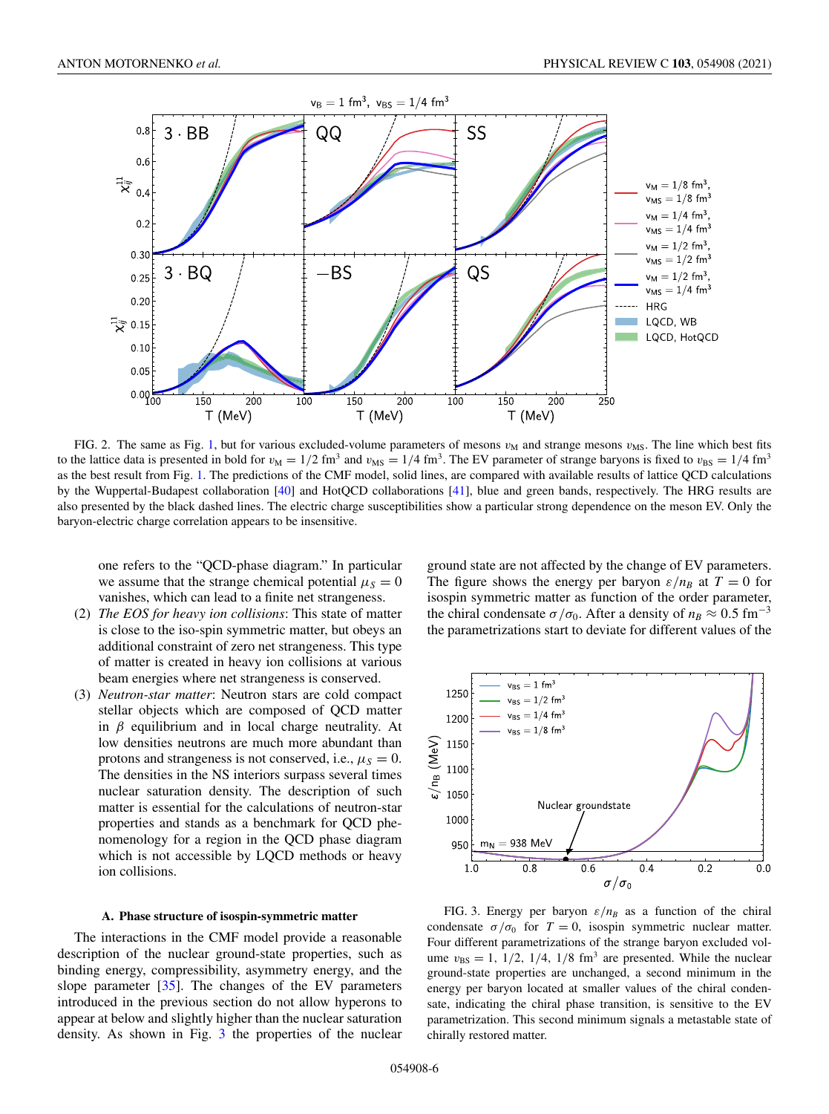

FIG. 2. The same as Fig. 1, but for various excluded-volume parameters of mesons  $v_M$  and strange mesons  $v_{MS}$ . The line which best fits to the lattice data is presented in bold for  $v_M = 1/2$  fm<sup>3</sup> and  $v_{MS} = 1/4$  fm<sup>3</sup>. The EV parameter of strange baryons is fixed to  $v_{BS} = 1/4$  fm<sup>3</sup> as the best result from Fig. 1. The predictions of the CMF model, solid lines, are compared with available results of lattice QCD calculations by the Wuppertal-Budapest collaboration [40] and HotQCD collaborations [41], blue and green bands, respectively. The HRG results are also presented by the black dashed lines. The electric charge susceptibilities show a particular strong dependence on the meson EV. Only the baryon-electric charge correlation appears to be insensitive.

one refers to the "QCD-phase diagram." In particular we assume that the strange chemical potential  $\mu_s = 0$ vanishes, which can lead to a finite net strangeness.

- (2) *The EOS for heavy ion collisions*: This state of matter is close to the iso-spin symmetric matter, but obeys an additional constraint of zero net strangeness. This type of matter is created in heavy ion collisions at various beam energies where net strangeness is conserved.
- (3) *Neutron-star matter*: Neutron stars are cold compact stellar objects which are composed of QCD matter in  $\beta$  equilibrium and in local charge neutrality. At low densities neutrons are much more abundant than protons and strangeness is not conserved, i.e.,  $\mu_S = 0$ . The densities in the NS interiors surpass several times nuclear saturation density. The description of such matter is essential for the calculations of neutron-star properties and stands as a benchmark for QCD phenomenology for a region in the QCD phase diagram which is not accessible by LQCD methods or heavy ion collisions.

### **A. Phase structure of isospin-symmetric matter**

The interactions in the CMF model provide a reasonable description of the nuclear ground-state properties, such as binding energy, compressibility, asymmetry energy, and the slope parameter [35]. The changes of the EV parameters introduced in the previous section do not allow hyperons to appear at below and slightly higher than the nuclear saturation density. As shown in Fig. 3 the properties of the nuclear ground state are not affected by the change of EV parameters. The figure shows the energy per baryon  $\varepsilon/n_B$  at  $T=0$  for isospin symmetric matter as function of the order parameter, the chiral condensate  $\sigma/\sigma_0$ . After a density of  $n_B \approx 0.5$  fm<sup>-3</sup> the parametrizations start to deviate for different values of the



FIG. 3. Energy per baryon  $\varepsilon/n_B$  as a function of the chiral condensate  $\sigma/\sigma_0$  for  $T=0$ , isospin symmetric nuclear matter. Four different parametrizations of the strange baryon excluded volume  $v_{\text{BS}} = 1$ , 1/2, 1/4, 1/8 fm<sup>3</sup> are presented. While the nuclear ground-state properties are unchanged, a second minimum in the energy per baryon located at smaller values of the chiral condensate, indicating the chiral phase transition, is sensitive to the EV parametrization. This second minimum signals a metastable state of chirally restored matter.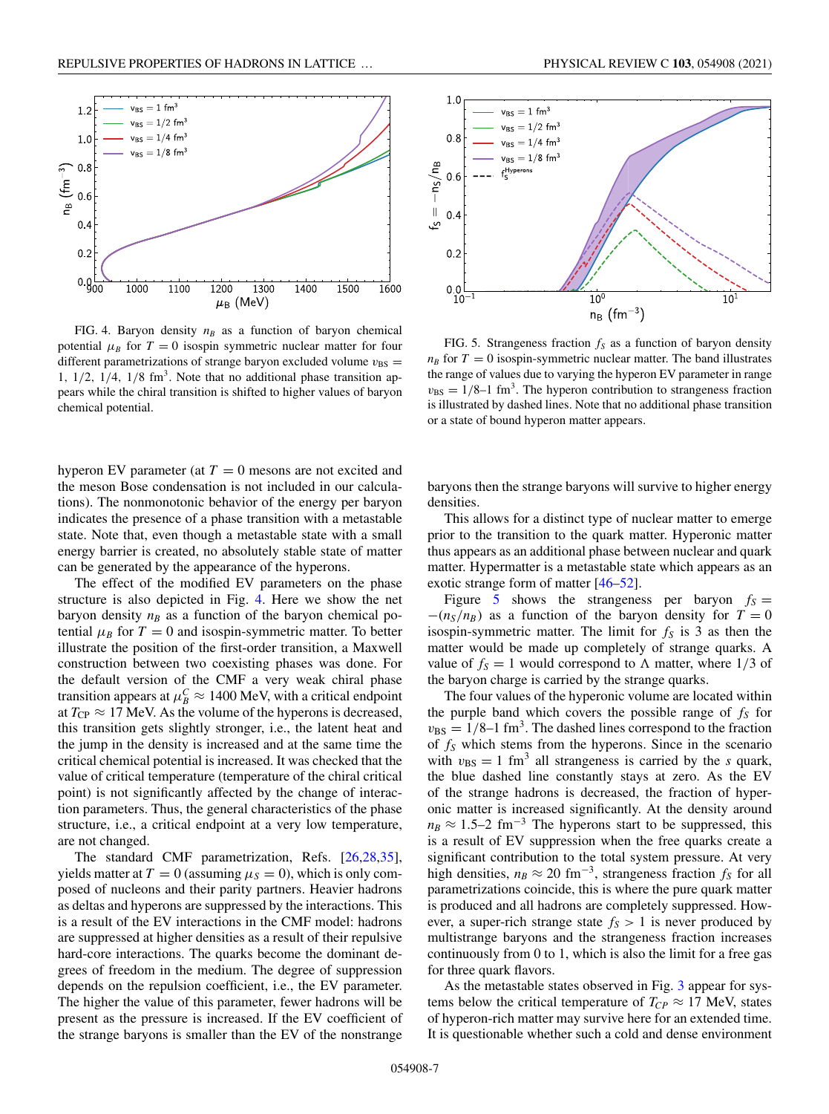

FIG. 4. Baryon density  $n_B$  as a function of baryon chemical potential  $\mu_B$  for  $T = 0$  isospin symmetric nuclear matter for four different parametrizations of strange baryon excluded volume  $v_{BS}$  = 1,  $1/2$ ,  $1/4$ ,  $1/8$  fm<sup>3</sup>. Note that no additional phase transition appears while the chiral transition is shifted to higher values of baryon chemical potential.

hyperon EV parameter (at  $T = 0$  mesons are not excited and the meson Bose condensation is not included in our calculations). The nonmonotonic behavior of the energy per baryon indicates the presence of a phase transition with a metastable state. Note that, even though a metastable state with a small energy barrier is created, no absolutely stable state of matter can be generated by the appearance of the hyperons.

The effect of the modified EV parameters on the phase structure is also depicted in Fig. 4. Here we show the net baryon density  $n_B$  as a function of the baryon chemical potential  $\mu_B$  for  $T = 0$  and isospin-symmetric matter. To better illustrate the position of the first-order transition, a Maxwell construction between two coexisting phases was done. For the default version of the CMF a very weak chiral phase transition appears at  $\mu_B^C \approx 1400$  MeV, with a critical endpoint at  $T_{CP} \approx 17$  MeV. As the volume of the hyperons is decreased, this transition gets slightly stronger, i.e., the latent heat and the jump in the density is increased and at the same time the critical chemical potential is increased. It was checked that the value of critical temperature (temperature of the chiral critical point) is not significantly affected by the change of interaction parameters. Thus, the general characteristics of the phase structure, i.e., a critical endpoint at a very low temperature, are not changed.

The standard CMF parametrization, Refs. [26,28,35], yields matter at  $T = 0$  (assuming  $\mu_S = 0$ ), which is only composed of nucleons and their parity partners. Heavier hadrons as deltas and hyperons are suppressed by the interactions. This is a result of the EV interactions in the CMF model: hadrons are suppressed at higher densities as a result of their repulsive hard-core interactions. The quarks become the dominant degrees of freedom in the medium. The degree of suppression depends on the repulsion coefficient, i.e., the EV parameter. The higher the value of this parameter, fewer hadrons will be present as the pressure is increased. If the EV coefficient of the strange baryons is smaller than the EV of the nonstrange



FIG. 5. Strangeness fraction *f<sup>S</sup>* as a function of baryon density  $n_B$  for  $T = 0$  isospin-symmetric nuclear matter. The band illustrates the range of values due to varying the hyperon EV parameter in range  $v_{\text{BS}} = 1/8 - 1$  fm<sup>3</sup>. The hyperon contribution to strangeness fraction is illustrated by dashed lines. Note that no additional phase transition or a state of bound hyperon matter appears.

baryons then the strange baryons will survive to higher energy densities.

This allows for a distinct type of nuclear matter to emerge prior to the transition to the quark matter. Hyperonic matter thus appears as an additional phase between nuclear and quark matter. Hypermatter is a metastable state which appears as an exotic strange form of matter [46–52].

Figure 5 shows the strangeness per baryon  $f_s =$  $-(n_S/n_B)$  as a function of the baryon density for  $T=0$ isospin-symmetric matter. The limit for *f<sup>S</sup>* is 3 as then the matter would be made up completely of strange quarks. A value of  $f_s = 1$  would correspond to  $\Lambda$  matter, where  $1/3$  of the baryon charge is carried by the strange quarks.

The four values of the hyperonic volume are located within the purple band which covers the possible range of *f<sup>S</sup>* for  $v_{\rm BS} = 1/8$ –1 fm<sup>3</sup>. The dashed lines correspond to the fraction of *f<sup>S</sup>* which stems from the hyperons. Since in the scenario with  $v_{\text{BS}} = 1 \text{ fm}^3$  all strangeness is carried by the *s* quark, the blue dashed line constantly stays at zero. As the EV of the strange hadrons is decreased, the fraction of hyperonic matter is increased significantly. At the density around  $n_B \approx 1.5-2$  fm<sup>-3</sup> The hyperons start to be suppressed, this is a result of EV suppression when the free quarks create a significant contribution to the total system pressure. At very high densities,  $n_B \approx 20 \text{ fm}^{-3}$ , strangeness fraction  $f_s$  for all parametrizations coincide, this is where the pure quark matter is produced and all hadrons are completely suppressed. However, a super-rich strange state  $f_S > 1$  is never produced by multistrange baryons and the strangeness fraction increases continuously from 0 to 1, which is also the limit for a free gas for three quark flavors.

As the metastable states observed in Fig. 3 appear for systems below the critical temperature of  $T_{CP} \approx 17$  MeV, states of hyperon-rich matter may survive here for an extended time. It is questionable whether such a cold and dense environment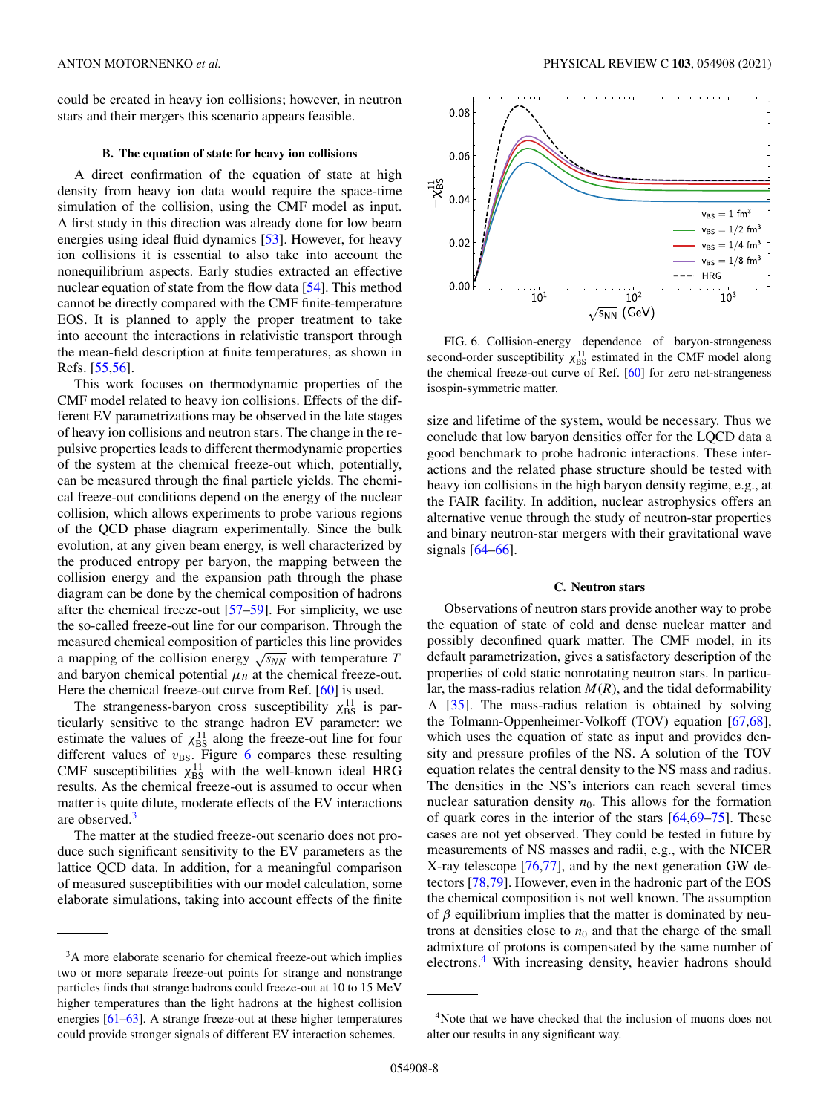could be created in heavy ion collisions; however, in neutron stars and their mergers this scenario appears feasible.

## **B. The equation of state for heavy ion collisions**

A direct confirmation of the equation of state at high density from heavy ion data would require the space-time simulation of the collision, using the CMF model as input. A first study in this direction was already done for low beam energies using ideal fluid dynamics [53]. However, for heavy ion collisions it is essential to also take into account the nonequilibrium aspects. Early studies extracted an effective nuclear equation of state from the flow data [54]. This method cannot be directly compared with the CMF finite-temperature EOS. It is planned to apply the proper treatment to take into account the interactions in relativistic transport through the mean-field description at finite temperatures, as shown in Refs. [55,56].

This work focuses on thermodynamic properties of the CMF model related to heavy ion collisions. Effects of the different EV parametrizations may be observed in the late stages of heavy ion collisions and neutron stars. The change in the repulsive properties leads to different thermodynamic properties of the system at the chemical freeze-out which, potentially, can be measured through the final particle yields. The chemical freeze-out conditions depend on the energy of the nuclear collision, which allows experiments to probe various regions of the QCD phase diagram experimentally. Since the bulk evolution, at any given beam energy, is well characterized by the produced entropy per baryon, the mapping between the collision energy and the expansion path through the phase diagram can be done by the chemical composition of hadrons after the chemical freeze-out [57–59]. For simplicity, we use the so-called freeze-out line for our comparison. Through the measured chemical composition of particles this line provides a mapping of the collision energy  $\sqrt{s_{NN}}$  with temperature *T* and baryon chemical potential  $\mu_B$  at the chemical freeze-out. Here the chemical freeze-out curve from Ref. [60] is used.

The strangeness-baryon cross susceptibility  $\chi_{BS}^{11}$  is particularly sensitive to the strange hadron EV parameter: we estimate the values of  $\chi_{BS}^{11}$  along the freeze-out line for four different values of  $v_{BS}$ . Figure 6 compares these resulting CMF susceptibilities  $\chi_{\text{BS}}^{11}$  with the well-known ideal HRG results. As the chemical freeze-out is assumed to occur when matter is quite dilute, moderate effects of the EV interactions are observed.<sup>3</sup>

The matter at the studied freeze-out scenario does not produce such significant sensitivity to the EV parameters as the lattice QCD data. In addition, for a meaningful comparison of measured susceptibilities with our model calculation, some elaborate simulations, taking into account effects of the finite



FIG. 6. Collision-energy dependence of baryon-strangeness second-order susceptibility  $\chi_{BS}^{11}$  estimated in the CMF model along the chemical freeze-out curve of Ref. [60] for zero net-strangeness isospin-symmetric matter.

size and lifetime of the system, would be necessary. Thus we conclude that low baryon densities offer for the LQCD data a good benchmark to probe hadronic interactions. These interactions and the related phase structure should be tested with heavy ion collisions in the high baryon density regime, e.g., at the FAIR facility. In addition, nuclear astrophysics offers an alternative venue through the study of neutron-star properties and binary neutron-star mergers with their gravitational wave signals [64–66].

## **C. Neutron stars**

Observations of neutron stars provide another way to probe the equation of state of cold and dense nuclear matter and possibly deconfined quark matter. The CMF model, in its default parametrization, gives a satisfactory description of the properties of cold static nonrotating neutron stars. In particular, the mass-radius relation  $M(R)$ , and the tidal deformability  $\Lambda$  [35]. The mass-radius relation is obtained by solving the Tolmann-Oppenheimer-Volkoff (TOV) equation [67,68], which uses the equation of state as input and provides density and pressure profiles of the NS. A solution of the TOV equation relates the central density to the NS mass and radius. The densities in the NS's interiors can reach several times nuclear saturation density  $n_0$ . This allows for the formation of quark cores in the interior of the stars [64,69–75]. These cases are not yet observed. They could be tested in future by measurements of NS masses and radii, e.g., with the NICER X-ray telescope [76,77], and by the next generation GW detectors [78,79]. However, even in the hadronic part of the EOS the chemical composition is not well known. The assumption of  $\beta$  equilibrium implies that the matter is dominated by neutrons at densities close to  $n_0$  and that the charge of the small admixture of protons is compensated by the same number of electrons.<sup>4</sup> With increasing density, heavier hadrons should

<sup>&</sup>lt;sup>3</sup>A more elaborate scenario for chemical freeze-out which implies two or more separate freeze-out points for strange and nonstrange particles finds that strange hadrons could freeze-out at 10 to 15 MeV higher temperatures than the light hadrons at the highest collision energies [61–63]. A strange freeze-out at these higher temperatures could provide stronger signals of different EV interaction schemes.

<sup>4</sup>Note that we have checked that the inclusion of muons does not alter our results in any significant way.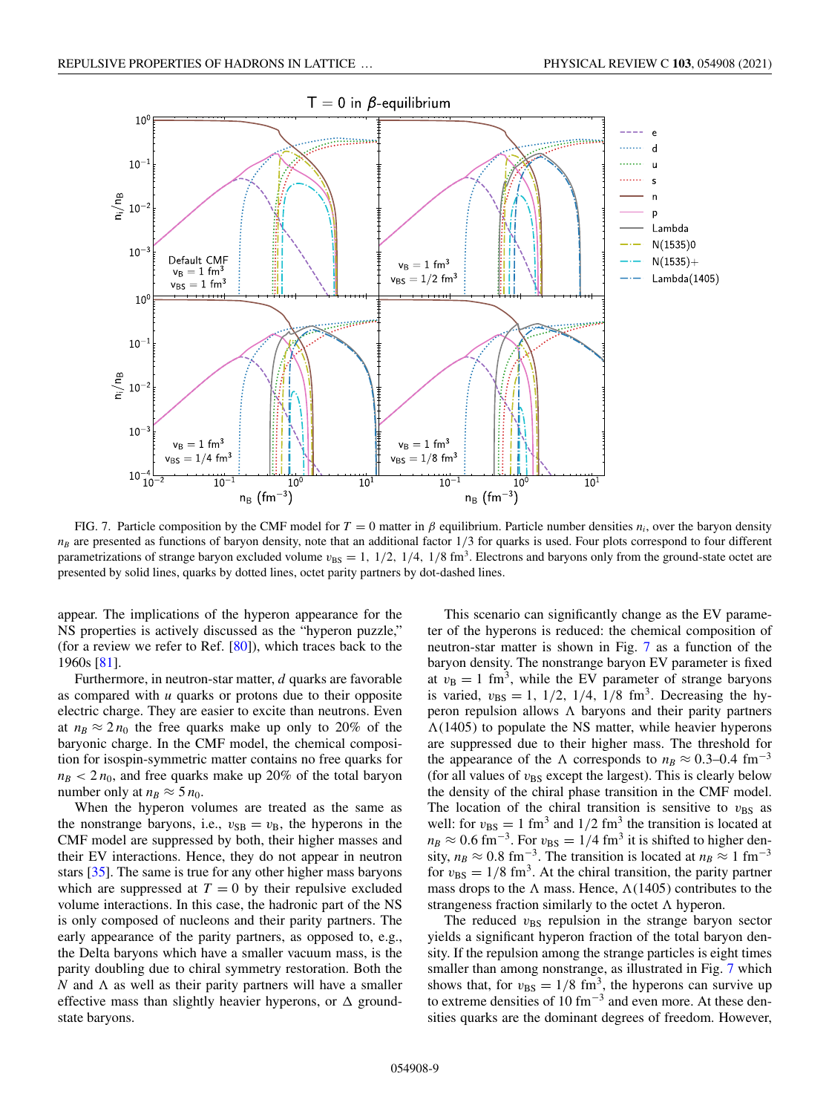

FIG. 7. Particle composition by the CMF model for  $T = 0$  matter in  $\beta$  equilibrium. Particle number densities  $n_i$ , over the baryon density  $n<sub>B</sub>$  are presented as functions of baryon density, note that an additional factor  $1/3$  for quarks is used. Four plots correspond to four different parametrizations of strange baryon excluded volume  $v_{BS} = 1$ ,  $1/2$ ,  $1/4$ ,  $1/8$  fm<sup>3</sup>. Electrons and baryons only from the ground-state octet are presented by solid lines, quarks by dotted lines, octet parity partners by dot-dashed lines.

appear. The implications of the hyperon appearance for the NS properties is actively discussed as the "hyperon puzzle," (for a review we refer to Ref.  $[80]$ ), which traces back to the 1960s [81].

Furthermore, in neutron-star matter, *d* quarks are favorable as compared with *u* quarks or protons due to their opposite electric charge. They are easier to excite than neutrons. Even at  $n_B \approx 2 n_0$  the free quarks make up only to 20% of the baryonic charge. In the CMF model, the chemical composition for isospin-symmetric matter contains no free quarks for  $n_B$  < 2  $n_0$ , and free quarks make up 20% of the total baryon number only at  $n_B \approx 5 n_0$ .

When the hyperon volumes are treated as the same as the nonstrange baryons, i.e.,  $v_{SB} = v_B$ , the hyperons in the CMF model are suppressed by both, their higher masses and their EV interactions. Hence, they do not appear in neutron stars [35]. The same is true for any other higher mass baryons which are suppressed at  $T = 0$  by their repulsive excluded volume interactions. In this case, the hadronic part of the NS is only composed of nucleons and their parity partners. The early appearance of the parity partners, as opposed to, e.g., the Delta baryons which have a smaller vacuum mass, is the parity doubling due to chiral symmetry restoration. Both the  *and*  $*\Lambda*$  *as well as their parity partners will have a smaller* effective mass than slightly heavier hyperons, or  $\Delta$  groundstate baryons.

This scenario can significantly change as the EV parameter of the hyperons is reduced: the chemical composition of neutron-star matter is shown in Fig. 7 as a function of the baryon density. The nonstrange baryon EV parameter is fixed at  $v_B = 1$  fm<sup>3</sup>, while the EV parameter of strange baryons is varied,  $v_{\text{BS}} = 1, 1/2, 1/4, 1/8$  fm<sup>3</sup>. Decreasing the hyperon repulsion allows  $\Lambda$  baryons and their parity partners  $\Lambda(1405)$  to populate the NS matter, while heavier hyperons are suppressed due to their higher mass. The threshold for the appearance of the  $\Lambda$  corresponds to  $n_B \approx 0.3-0.4$  fm<sup>-3</sup> (for all values of  $v_{BS}$  except the largest). This is clearly below the density of the chiral phase transition in the CMF model. The location of the chiral transition is sensitive to  $v_{BS}$  as well: for  $v_{\text{BS}} = 1 \text{ fm}^3$  and  $1/2 \text{ fm}^3$  the transition is located at  $n_B \approx 0.6$  fm<sup>-3</sup>. For  $v_{BS} = 1/4$  fm<sup>3</sup> it is shifted to higher density,  $n_B \approx 0.8 \text{ fm}^{-3}$ . The transition is located at  $n_B \approx 1 \text{ fm}^{-3}$ for  $v_{\text{BS}} = 1/8 \text{ fm}^3$ . At the chiral transition, the parity partner mass drops to the  $\Lambda$  mass. Hence,  $\Lambda$ (1405) contributes to the strangeness fraction similarly to the octet  $\Lambda$  hyperon.

The reduced  $v_{BS}$  repulsion in the strange baryon sector yields a significant hyperon fraction of the total baryon density. If the repulsion among the strange particles is eight times smaller than among nonstrange, as illustrated in Fig. 7 which shows that, for  $v_{\text{BS}} = 1/8$  fm<sup>3</sup>, the hyperons can survive up to extreme densities of 10 fm<sup>-3</sup> and even more. At these densities quarks are the dominant degrees of freedom. However,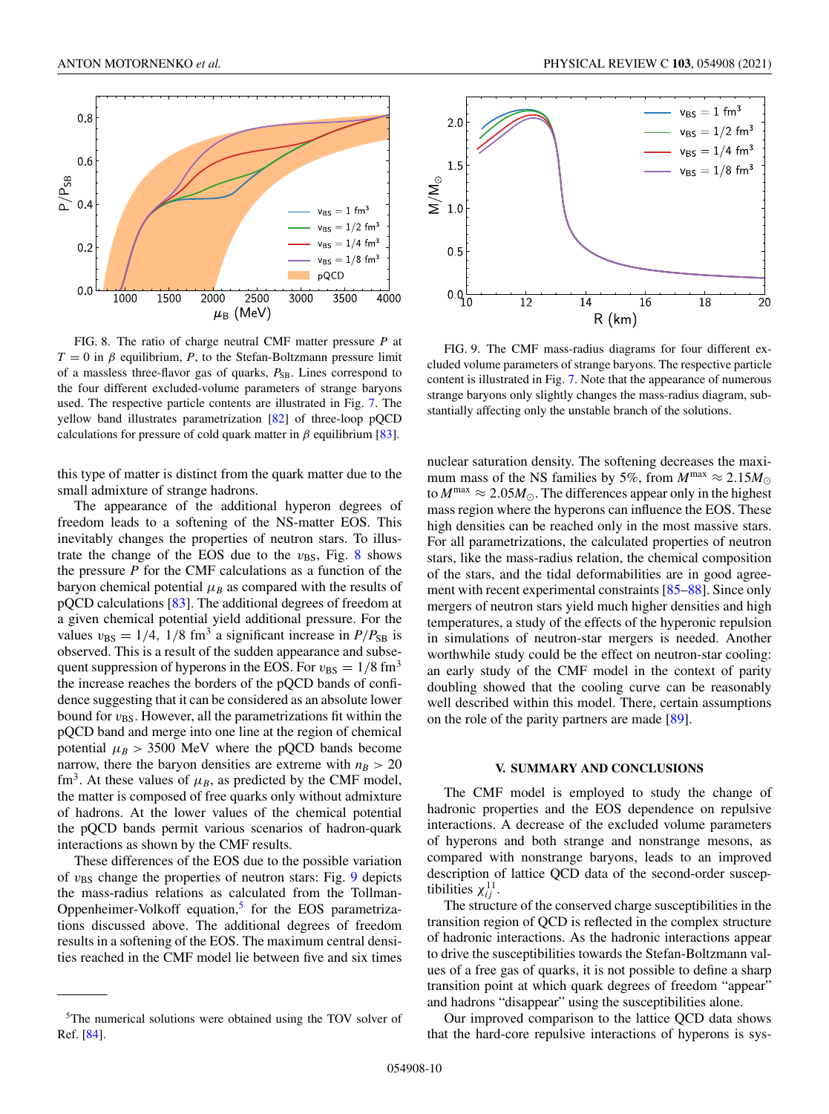

FIG. 8. The ratio of charge neutral CMF matter pressure *P* at  $T = 0$  in  $\beta$  equilibrium, *P*, to the Stefan-Boltzmann pressure limit of a massless three-flavor gas of quarks,  $P_{SB}$ . Lines correspond to the four different excluded-volume parameters of strange baryons used. The respective particle contents are illustrated in Fig. 7. The yellow band illustrates parametrization [82] of three-loop pQCD calculations for pressure of cold quark matter in  $\beta$  equilibrium [83].

this type of matter is distinct from the quark matter due to the small admixture of strange hadrons.

The appearance of the additional hyperon degrees of freedom leads to a softening of the NS-matter EOS. This inevitably changes the properties of neutron stars. To illustrate the change of the EOS due to the  $v_{BS}$ , Fig. 8 shows the pressure *P* for the CMF calculations as a function of the baryon chemical potential  $\mu_B$  as compared with the results of pQCD calculations [83]. The additional degrees of freedom at a given chemical potential yield additional pressure. For the values  $v_{BS} = 1/4$ , 1/8 fm<sup>3</sup> a significant increase in  $P/P_{SB}$  is observed. This is a result of the sudden appearance and subsequent suppression of hyperons in the EOS. For  $v_{BS} = 1/8$  fm<sup>3</sup> the increase reaches the borders of the pQCD bands of confidence suggesting that it can be considered as an absolute lower bound for  $v_{BS}$ . However, all the parametrizations fit within the pQCD band and merge into one line at the region of chemical potential  $\mu_B > 3500$  MeV where the pQCD bands become narrow, there the baryon densities are extreme with  $n_B > 20$ fm<sup>3</sup>. At these values of  $\mu_B$ , as predicted by the CMF model, the matter is composed of free quarks only without admixture of hadrons. At the lower values of the chemical potential the pQCD bands permit various scenarios of hadron-quark interactions as shown by the CMF results.

These differences of the EOS due to the possible variation of  $v_{BS}$  change the properties of neutron stars: Fig. 9 depicts the mass-radius relations as calculated from the Tollman-Oppenheimer-Volkoff equation,<sup>5</sup> for the EOS parametrizations discussed above. The additional degrees of freedom results in a softening of the EOS. The maximum central densities reached in the CMF model lie between five and six times



FIG. 9. The CMF mass-radius diagrams for four different excluded volume parameters of strange baryons. The respective particle content is illustrated in Fig. 7. Note that the appearance of numerous strange baryons only slightly changes the mass-radius diagram, substantially affecting only the unstable branch of the solutions.

nuclear saturation density. The softening decreases the maximum mass of the NS families by 5%, from  $M^{\text{max}} \approx 2.15 M_{\odot}$ to  $M^{\text{max}} \approx 2.05 M_{\odot}$ . The differences appear only in the highest mass region where the hyperons can influence the EOS. These high densities can be reached only in the most massive stars. For all parametrizations, the calculated properties of neutron stars, like the mass-radius relation, the chemical composition of the stars, and the tidal deformabilities are in good agreement with recent experimental constraints [85–88]. Since only mergers of neutron stars yield much higher densities and high temperatures, a study of the effects of the hyperonic repulsion in simulations of neutron-star mergers is needed. Another worthwhile study could be the effect on neutron-star cooling: an early study of the CMF model in the context of parity doubling showed that the cooling curve can be reasonably well described within this model. There, certain assumptions on the role of the parity partners are made [89].

### **V. SUMMARY AND CONCLUSIONS**

The CMF model is employed to study the change of hadronic properties and the EOS dependence on repulsive interactions. A decrease of the excluded volume parameters of hyperons and both strange and nonstrange mesons, as compared with nonstrange baryons, leads to an improved description of lattice QCD data of the second-order susceptibilities  $\chi_{ij}^{11}$ .

The structure of the conserved charge susceptibilities in the transition region of QCD is reflected in the complex structure of hadronic interactions. As the hadronic interactions appear to drive the susceptibilities towards the Stefan-Boltzmann values of a free gas of quarks, it is not possible to define a sharp transition point at which quark degrees of freedom "appear" and hadrons "disappear" using the susceptibilities alone.

Our improved comparison to the lattice QCD data shows that the hard-core repulsive interactions of hyperons is sys-

<sup>5</sup>The numerical solutions were obtained using the TOV solver of Ref. [84].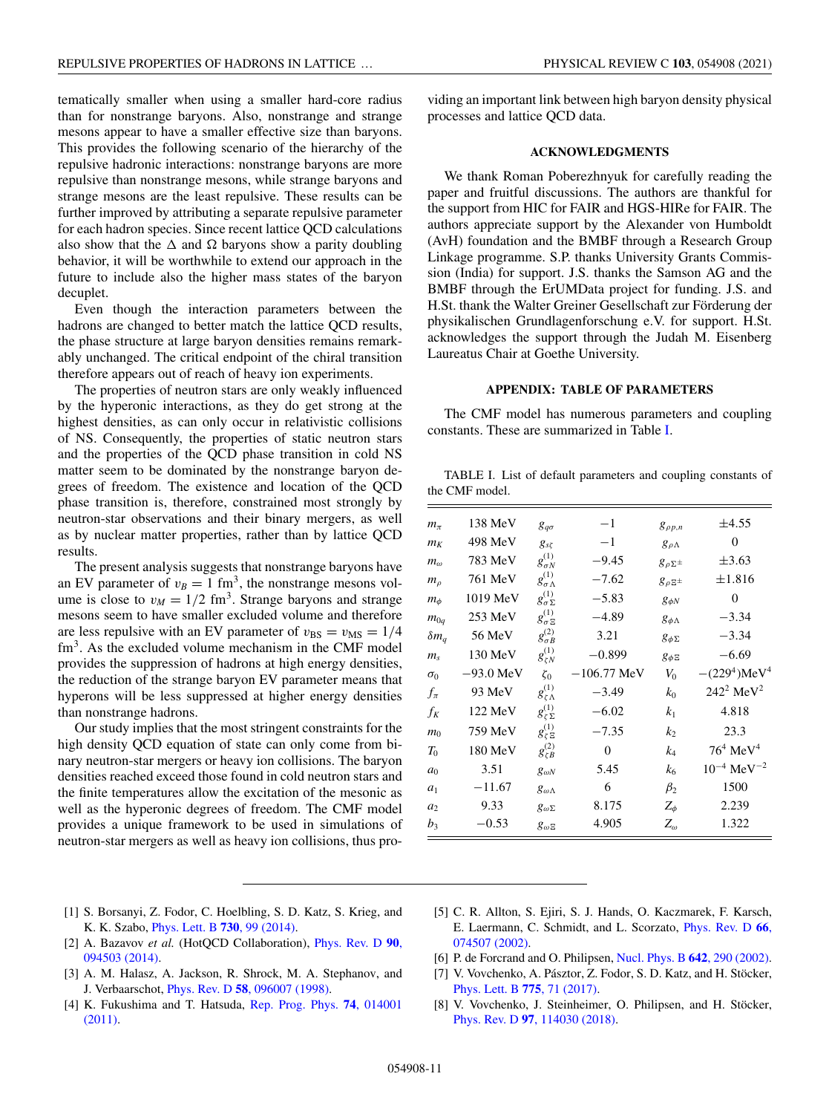tematically smaller when using a smaller hard-core radius than for nonstrange baryons. Also, nonstrange and strange mesons appear to have a smaller effective size than baryons. This provides the following scenario of the hierarchy of the repulsive hadronic interactions: nonstrange baryons are more repulsive than nonstrange mesons, while strange baryons and strange mesons are the least repulsive. These results can be further improved by attributing a separate repulsive parameter for each hadron species. Since recent lattice QCD calculations also show that the  $\Delta$  and  $\Omega$  baryons show a parity doubling behavior, it will be worthwhile to extend our approach in the future to include also the higher mass states of the baryon decuplet.

Even though the interaction parameters between the hadrons are changed to better match the lattice QCD results, the phase structure at large baryon densities remains remarkably unchanged. The critical endpoint of the chiral transition therefore appears out of reach of heavy ion experiments.

The properties of neutron stars are only weakly influenced by the hyperonic interactions, as they do get strong at the highest densities, as can only occur in relativistic collisions of NS. Consequently, the properties of static neutron stars and the properties of the QCD phase transition in cold NS matter seem to be dominated by the nonstrange baryon degrees of freedom. The existence and location of the QCD phase transition is, therefore, constrained most strongly by neutron-star observations and their binary mergers, as well as by nuclear matter properties, rather than by lattice QCD results.

The present analysis suggests that nonstrange baryons have an EV parameter of  $v_B = 1 \text{ fm}^3$ , the nonstrange mesons volume is close to  $v_M = 1/2$  fm<sup>3</sup>. Strange baryons and strange mesons seem to have smaller excluded volume and therefore are less repulsive with an EV parameter of  $v_{BS} = v_{MS} = 1/4$ fm<sup>3</sup>. As the excluded volume mechanism in the CMF model provides the suppression of hadrons at high energy densities, the reduction of the strange baryon EV parameter means that hyperons will be less suppressed at higher energy densities than nonstrange hadrons.

Our study implies that the most stringent constraints for the high density QCD equation of state can only come from binary neutron-star mergers or heavy ion collisions. The baryon densities reached exceed those found in cold neutron stars and the finite temperatures allow the excitation of the mesonic as well as the hyperonic degrees of freedom. The CMF model provides a unique framework to be used in simulations of neutron-star mergers as well as heavy ion collisions, thus pro-

viding an important link between high baryon density physical processes and lattice QCD data.

## **ACKNOWLEDGMENTS**

We thank Roman Poberezhnyuk for carefully reading the paper and fruitful discussions. The authors are thankful for the support from HIC for FAIR and HGS-HIRe for FAIR. The authors appreciate support by the Alexander von Humboldt (AvH) foundation and the BMBF through a Research Group Linkage programme. S.P. thanks University Grants Commission (India) for support. J.S. thanks the Samson AG and the BMBF through the ErUMData project for funding. J.S. and H.St. thank the Walter Greiner Gesellschaft zur Förderung der physikalischen Grundlagenforschung e.V. for support. H.St. acknowledges the support through the Judah M. Eisenberg Laureatus Chair at Goethe University.

## **APPENDIX: TABLE OF PARAMETERS**

The CMF model has numerous parameters and coupling constants. These are summarized in Table I.

TABLE I. List of default parameters and coupling constants of the CMF model.

| $m_{\pi}$      | 138 MeV     | $g_{q\sigma}$             | $-1$          | $g_{\rho p,n}$         | $\pm 4.55$                  |
|----------------|-------------|---------------------------|---------------|------------------------|-----------------------------|
| $m_K$          | 498 MeV     | $g_{s\zeta}$              | $-1$          | $g_{\rho\Lambda}$      | 0                           |
| $m_{\omega}$   | 783 MeV     | $g_{\sigma N}^{(1)}$      | $-9.45$       | $g_{\rho\Sigma^{\pm}}$ | $\pm 3.63$                  |
| $m_{\rho}$     | 761 MeV     | $\sigma^{(1)}$<br>δσΛ     | $-7.62$       | $g_{\rho\Sigma^{\pm}}$ | $\pm 1.816$                 |
| $m_{\phi}$     | 1019 MeV    | $g^{(1)}_{\sigma\Sigma}$  | $-5.83$       | $g_{\phi N}$           | $\Omega$                    |
| $m_{0q}$       | $253$ MeV   | $g^{(1)}_{\sigma \, \Xi}$ | $-4.89$       | $g_{\phi \Lambda}$     | $-3.34$                     |
| $\delta m_q$   | 56 MeV      | $g_{\sigma B}^{(2)}$      | 3.21          | $g_{\phi\Sigma}$       | $-3.34$                     |
| $m_{\rm s}$    | 130 MeV     | $g_{\zeta N}^{(1)}$       | $-0.899$      | $g_{\phi \Xi}$         | $-6.69$                     |
| $\sigma_0$     | $-93.0$ MeV | $\zeta_0$                 | $-106.77$ MeV | $V_0$                  | $-(229^4)MeV^4$             |
| $f_{\pi}$      | 93 MeV      | $g^{(1)}_{\zeta\Lambda}$  | $-3.49$       | $k_0$                  | $242^2 \text{ MeV}^2$       |
| $f_K$          | 122 MeV     | $g^{(1)}_{\zeta\Sigma}$   | $-6.02$       | k <sub>1</sub>         | 4.818                       |
| m <sub>0</sub> | 759 MeV     | $g_{\zeta\,\Xi}^{(1)}$    | $-7.35$       | k <sub>2</sub>         | 23.3                        |
| $T_0$          | 180 MeV     | $g_{\zeta B}^{(2)}$       | $\Omega$      | k4                     | $76^4$ MeV <sup>4</sup>     |
| a <sub>0</sub> | 3.51        | $g_{\omega N}$            | 5.45          | k <sub>6</sub>         | $10^{-4}$ MeV <sup>-2</sup> |
| a <sub>1</sub> | $-11.67$    | $g_{\omega\Lambda}$       | 6             | $\beta_2$              | 1500                        |
| a <sub>2</sub> | 9.33        | $g_{\omega\Sigma}$        | 8.175         | $Z_\phi$               | 2.239                       |
| $b_3$          | $-0.53$     | $g_{\omega}$ =            | 4.905         | $Z_\omega$             | 1.322                       |

- [1] S. Borsanyi, Z. Fodor, C. Hoelbling, S. D. Katz, S. Krieg, and K. K. Szabo, Phys. Lett. B **730**, 99 (2014).
- [2] A. Bazavov *et al.* (HotQCD Collaboration), Phys. Rev. D **90**, 094503 (2014).
- [3] A. M. Halasz, A. Jackson, R. Shrock, M. A. Stephanov, and J. Verbaarschot, Phys. Rev. D **58**, 096007 (1998).
- [4] K. Fukushima and T. Hatsuda, Rep. Prog. Phys. **74**, 014001 (2011).
- [5] C. R. Allton, S. Ejiri, S. J. Hands, O. Kaczmarek, F. Karsch, E. Laermann, C. Schmidt, and L. Scorzato, Phys. Rev. D **66**, 074507 (2002).
- [6] P. de Forcrand and O. Philipsen, Nucl. Phys. B **642**, 290 (2002).
- [7] V. Vovchenko, A. Pásztor, Z. Fodor, S. D. Katz, and H. Stöcker, Phys. Lett. B **775**, 71 (2017).
- [8] V. Vovchenko, J. Steinheimer, O. Philipsen, and H. Stöcker, Phys. Rev. D **97**, 114030 (2018).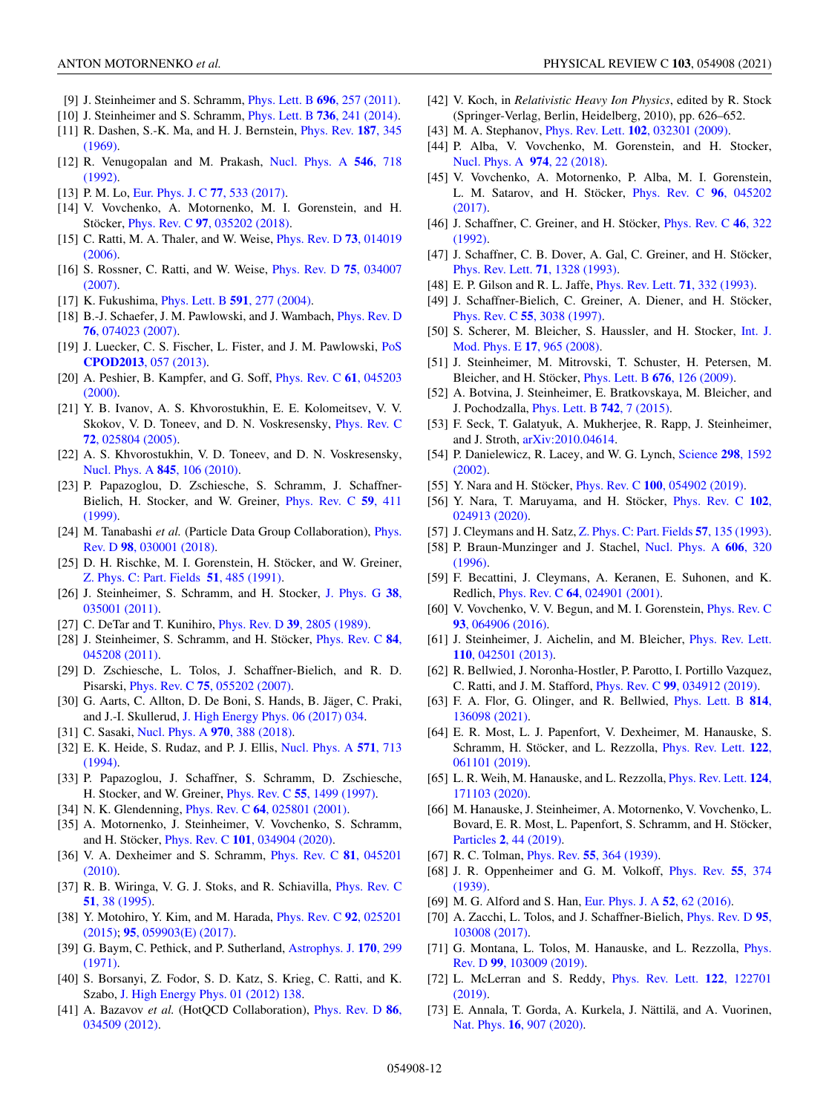- [9] J. Steinheimer and S. Schramm, Phys. Lett. B **696**, 257 (2011).
- [10] J. Steinheimer and S. Schramm, Phys. Lett. B **736**, 241 (2014).
- [11] R. Dashen, S.-K. Ma, and H. J. Bernstein, Phys. Rev. **187**, 345 (1969).
- [12] R. Venugopalan and M. Prakash, Nucl. Phys. A **546**, 718 (1992).
- [13] P. M. Lo, Eur. Phys. J. C **77**, 533 (2017).
- [14] V. Vovchenko, A. Motornenko, M. I. Gorenstein, and H. Stöcker, Phys. Rev. C **97**, 035202 (2018).
- [15] C. Ratti, M. A. Thaler, and W. Weise, Phys. Rev. D **73**, 014019 (2006).
- [16] S. Rossner, C. Ratti, and W. Weise, Phys. Rev. D **75**, 034007 (2007).
- [17] K. Fukushima, Phys. Lett. B **591**, 277 (2004).
- [18] B.-J. Schaefer, J. M. Pawlowski, and J. Wambach, *Phys. Rev. D* **76**, 074023 (2007).
- [19] J. Luecker, C. S. Fischer, L. Fister, and J. M. Pawlowski, PoS **CPOD2013**, 057 (2013).
- [20] A. Peshier, B. Kampfer, and G. Soff, Phys. Rev. C **61**, 045203 (2000).
- [21] Y. B. Ivanov, A. S. Khvorostukhin, E. E. Kolomeitsev, V. V. Skokov, V. D. Toneev, and D. N. Voskresensky, Phys. Rev. C **72**, 025804 (2005).
- [22] A. S. Khvorostukhin, V. D. Toneev, and D. N. Voskresensky, Nucl. Phys. A **845**, 106 (2010).
- [23] P. Papazoglou, D. Zschiesche, S. Schramm, J. Schaffner-Bielich, H. Stocker, and W. Greiner, Phys. Rev. C **59**, 411 (1999).
- [24] M. Tanabashi *et al.* (Particle Data Group Collaboration), Phys. Rev. D **98**, 030001 (2018).
- [25] D. H. Rischke, M. I. Gorenstein, H. Stöcker, and W. Greiner, Z. Phys. C: Part. Fields **51**, 485 (1991).
- [26] J. Steinheimer, S. Schramm, and H. Stocker, J. Phys. G **38**, 035001 (2011).
- [27] C. DeTar and T. Kunihiro, Phys. Rev. D **39**, 2805 (1989).
- [28] J. Steinheimer, S. Schramm, and H. Stöcker, Phys. Rev. C **84**, 045208 (2011).
- [29] D. Zschiesche, L. Tolos, J. Schaffner-Bielich, and R. D. Pisarski, Phys. Rev. C **75**, 055202 (2007).
- [30] G. Aarts, C. Allton, D. De Boni, S. Hands, B. Jäger, C. Praki, and J.-I. Skullerud, J. High Energy Phys. 06 (2017) 034.
- [31] C. Sasaki, Nucl. Phys. A **970**, 388 (2018).
- [32] E. K. Heide, S. Rudaz, and P. J. Ellis, Nucl. Phys. A **571**, 713 (1994).
- [33] P. Papazoglou, J. Schaffner, S. Schramm, D. Zschiesche, H. Stocker, and W. Greiner, Phys. Rev. C **55**, 1499 (1997).
- [34] N. K. Glendenning, Phys. Rev. C **64**, 025801 (2001).
- [35] A. Motornenko, J. Steinheimer, V. Vovchenko, S. Schramm, and H. Stöcker, Phys. Rev. C **101**, 034904 (2020).
- [36] V. A. Dexheimer and S. Schramm, Phys. Rev. C **81**, 045201 (2010).
- [37] R. B. Wiringa, V. G. J. Stoks, and R. Schiavilla, *Phys. Rev. C* **51**, 38 (1995).
- [38] Y. Motohiro, Y. Kim, and M. Harada, Phys. Rev. C **92**, 025201 (2015); **95**, 059903(E) (2017).
- [39] G. Baym, C. Pethick, and P. Sutherland, Astrophys. J. **170**, 299 (1971).
- [40] S. Borsanyi, Z. Fodor, S. D. Katz, S. Krieg, C. Ratti, and K. Szabo, J. High Energy Phys. 01 (2012) 138.
- [41] A. Bazavov *et al.* (HotQCD Collaboration), Phys. Rev. D **86**, 034509 (2012).
- [42] V. Koch, in *Relativistic Heavy Ion Physics*, edited by R. Stock (Springer-Verlag, Berlin, Heidelberg, 2010), pp. 626–652.
- [43] M. A. Stephanov, Phys. Rev. Lett. **102**, 032301 (2009).
- [44] P. Alba, V. Vovchenko, M. Gorenstein, and H. Stocker, Nucl. Phys. A **974**, 22 (2018).
- [45] V. Vovchenko, A. Motornenko, P. Alba, M. I. Gorenstein, L. M. Satarov, and H. Stöcker, Phys. Rev. C **96**, 045202 (2017).
- [46] J. Schaffner, C. Greiner, and H. Stöcker, Phys. Rev. C **46**, 322 (1992).
- [47] J. Schaffner, C. B. Dover, A. Gal, C. Greiner, and H. Stöcker, Phys. Rev. Lett. **71**, 1328 (1993).
- [48] E. P. Gilson and R. L. Jaffe, Phys. Rev. Lett. **71**, 332 (1993).
- [49] J. Schaffner-Bielich, C. Greiner, A. Diener, and H. Stöcker, Phys. Rev. C **55**, 3038 (1997).
- [50] S. Scherer, M. Bleicher, S. Haussler, and H. Stocker, Int. J. Mod. Phys. E **17**, 965 (2008).
- [51] J. Steinheimer, M. Mitrovski, T. Schuster, H. Petersen, M. Bleicher, and H. Stöcker, Phys. Lett. B **676**, 126 (2009).
- [52] A. Botvina, J. Steinheimer, E. Bratkovskaya, M. Bleicher, and J. Pochodzalla, Phys. Lett. B **742**, 7 (2015).
- [53] F. Seck, T. Galatyuk, A. Mukherjee, R. Rapp, J. Steinheimer, and J. Stroth, arXiv:2010.04614.
- [54] P. Danielewicz, R. Lacey, and W. G. Lynch, Science **298**, 1592 (2002).
- [55] Y. Nara and H. Stöcker, Phys. Rev. C **100**, 054902 (2019).
- [56] Y. Nara, T. Maruyama, and H. Stöcker, Phys. Rev. C **102**, 024913 (2020).
- [57] J. Cleymans and H. Satz, Z. Phys. C: Part. Fields **57**, 135 (1993).
- [58] P. Braun-Munzinger and J. Stachel, Nucl. Phys. A **606**, 320 (1996).
- [59] F. Becattini, J. Cleymans, A. Keranen, E. Suhonen, and K. Redlich, Phys. Rev. C **64**, 024901 (2001).
- [60] V. Vovchenko, V. V. Begun, and M. I. Gorenstein, *Phys. Rev. C* **93**, 064906 (2016).
- [61] J. Steinheimer, J. Aichelin, and M. Bleicher, Phys. Rev. Lett. **110**, 042501 (2013).
- [62] R. Bellwied, J. Noronha-Hostler, P. Parotto, I. Portillo Vazquez, C. Ratti, and J. M. Stafford, Phys. Rev. C **99**, 034912 (2019).
- [63] F. A. Flor, G. Olinger, and R. Bellwied, Phys. Lett. B **814**, 136098 (2021).
- [64] E. R. Most, L. J. Papenfort, V. Dexheimer, M. Hanauske, S. Schramm, H. Stöcker, and L. Rezzolla, Phys. Rev. Lett. **122**, 061101 (2019).
- [65] L. R. Weih, M. Hanauske, and L. Rezzolla, Phys. Rev. Lett. **124**, 171103 (2020).
- [66] M. Hanauske, J. Steinheimer, A. Motornenko, V. Vovchenko, L. Bovard, E. R. Most, L. Papenfort, S. Schramm, and H. Stöcker, Particles **2**, 44 (2019).
- [67] R. C. Tolman, Phys. Rev. **55**, 364 (1939).
- [68] J. R. Oppenheimer and G. M. Volkoff, Phys. Rev. **55**, 374 (1939).
- [69] M. G. Alford and S. Han, Eur. Phys. J. A **52**, 62 (2016).
- [70] A. Zacchi, L. Tolos, and J. Schaffner-Bielich, Phys. Rev. D **95**, 103008 (2017).
- [71] G. Montana, L. Tolos, M. Hanauske, and L. Rezzolla, Phys. Rev. D **99**, 103009 (2019).
- [72] L. McLerran and S. Reddy, Phys. Rev. Lett. **122**, 122701 (2019).
- [73] E. Annala, T. Gorda, A. Kurkela, J. Nättilä, and A. Vuorinen, Nat. Phys. **16**, 907 (2020).